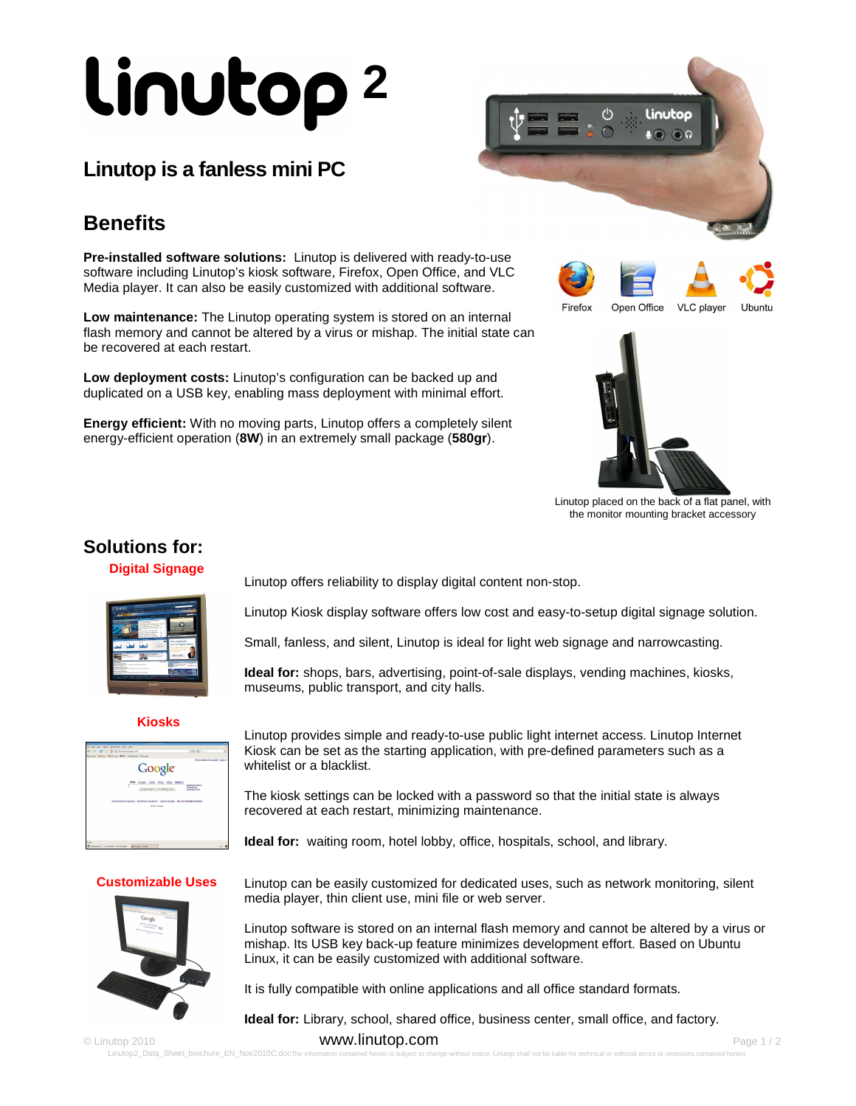# **2**

## **Linutop is a fanless mini PC**

## **Benefits**

**Pre-installed software solutions:** Linutop is delivered with ready-to-use software including Linutop's kiosk software, Firefox, Open Office, and VLC Media player. It can also be easily customized with additional software.

**Low maintenance:** The Linutop operating system is stored on an internal flash memory and cannot be altered by a virus or mishap. The initial state can be recovered at each restart.

**Low deployment costs:** Linutop's configuration can be backed up and duplicated on a USB key, enabling mass deployment with minimal effort.

**Energy efficient:** With no moving parts, Linutop offers a completely silent energy-efficient operation (**8W**) in an extremely small package (**580gr**).











Linutop placed on the back of a flat panel, with the monitor mounting bracket accessory

## **Solutions for:**

#### **Digital Signage**

| aanchi<br>or worked for group of the<br><b>JEWS</b><br>the same report from the second company where the pro-                                                                                                                              | the work there will not you interest significant develop the profitable and   |
|--------------------------------------------------------------------------------------------------------------------------------------------------------------------------------------------------------------------------------------------|-------------------------------------------------------------------------------|
| <b>Allen College</b><br>--<br><b>START</b><br>۰<br>promotion of the most<br><b>CONTRACTOR</b><br><b>Rooms Advisorment IV</b><br>And Administrations on<br>nation from \$1.5 percent control of<br>×<br>×<br>NATIONAL WARRANT               | $\frac{1}{2}$                                                                 |
| <b>Many Strategy Guillac Rob</b><br><b>Manufacturer Product Control</b><br><b>Billis Address continue for</b><br>$\sim$<br>--<br><b>CALLED</b><br>٠<br><b>KANSAS</b><br>٠                                                                  | 41,49,955<br>Ξ<br>Fas employed,<br>as I use OuterAgent.<br><b>College and</b> |
| <b>CONTRACTOR</b><br>and industry and has<br>$-100$<br>∷<br><b>CALLA</b><br><b>Contract Contract</b><br><b>Walkarington</b><br><b>COMPANY</b><br>=<br><b>UMBER</b><br><b>BANK CONTRACTOR</b>                                               | -<br>÷.<br><b>ANGLE &amp; MA</b><br>120920-005                                |
| ---<br><b>ALCOHOL: NO</b><br>a di testimano di come di cidade che la chiesa e se dost<br>---<br>----<br><b>CAR ENTRANCE AND CONTRACT</b><br><b>START OF THE OWNER.</b><br><b>Children</b> Constitutions Service<br>advertising a design of | <b>Colorester</b><br><b>Service</b>                                           |
| <b>Mata.Oo</b>                                                                                                                                                                                                                             |                                                                               |
| <b><i><u>A. A. A. A. A.</u></i></b>                                                                                                                                                                                                        |                                                                               |

#### **Kiosks**



Linutop offers reliability to display digital content non-stop.

Linutop Kiosk display software offers low cost and easy-to-setup digital signage solution.

Small, fanless, and silent, Linutop is ideal for light web signage and narrowcasting.

**Ideal for:** shops, bars, advertising, point-of-sale displays, vending machines, kiosks, museums, public transport, and city halls.

Linutop provides simple and ready-to-use public light internet access. Linutop Internet Kiosk can be set as the starting application, with pre-defined parameters such as a whitelist or a blacklist.

The kiosk settings can be locked with a password so that the initial state is always recovered at each restart, minimizing maintenance.

**Ideal for:** waiting room, hotel lobby, office, hospitals, school, and library.



**Customizable Uses** Linutop can be easily customized for dedicated uses, such as network monitoring, silent media player, thin client use, mini file or web server.

> Linutop software is stored on an internal flash memory and cannot be altered by a virus or mishap. Its USB key back-up feature minimizes development effort. Based on Ubuntu Linux, it can be easily customized with additional software.

It is fully compatible with online applications and all office standard formats.

**Ideal for:** Library, school, shared office, business center, small office, and factory.